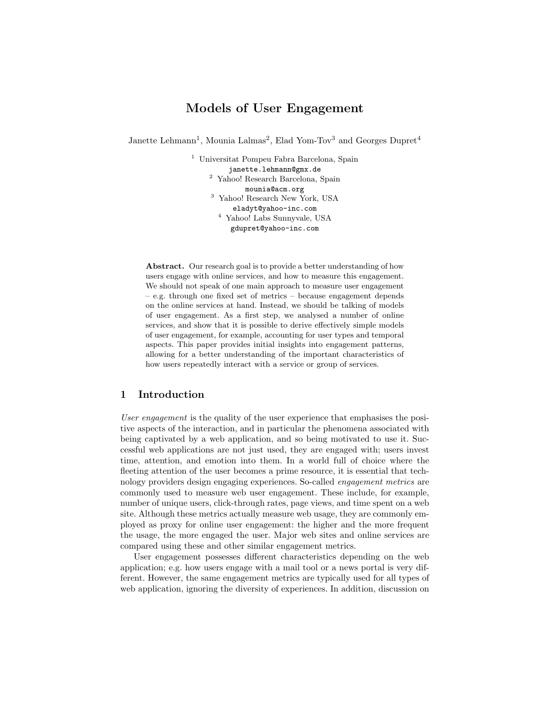# Models of User Engagement

Janette Lehmann<sup>1</sup>, Mounia Lalmas<sup>2</sup>, Elad Yom-Tov<sup>3</sup> and Georges Dupret<sup>4</sup>

<sup>1</sup> Universitat Pompeu Fabra Barcelona, Spain janette.lehmann@gmx.de <sup>2</sup> Yahoo! Research Barcelona, Spain mounia@acm.org <sup>3</sup> Yahoo! Research New York, USA eladyt@yahoo-inc.com <sup>4</sup> Yahoo! Labs Sunnyvale, USA gdupret@yahoo-inc.com

Abstract. Our research goal is to provide a better understanding of how users engage with online services, and how to measure this engagement. We should not speak of one main approach to measure user engagement – e.g. through one fixed set of metrics – because engagement depends on the online services at hand. Instead, we should be talking of models of user engagement. As a first step, we analysed a number of online services, and show that it is possible to derive effectively simple models of user engagement, for example, accounting for user types and temporal aspects. This paper provides initial insights into engagement patterns, allowing for a better understanding of the important characteristics of how users repeatedly interact with a service or group of services.

## 1 Introduction

User engagement is the quality of the user experience that emphasises the positive aspects of the interaction, and in particular the phenomena associated with being captivated by a web application, and so being motivated to use it. Successful web applications are not just used, they are engaged with; users invest time, attention, and emotion into them. In a world full of choice where the fleeting attention of the user becomes a prime resource, it is essential that technology providers design engaging experiences. So-called engagement metrics are commonly used to measure web user engagement. These include, for example, number of unique users, click-through rates, page views, and time spent on a web site. Although these metrics actually measure web usage, they are commonly employed as proxy for online user engagement: the higher and the more frequent the usage, the more engaged the user. Major web sites and online services are compared using these and other similar engagement metrics.

User engagement possesses different characteristics depending on the web application; e.g. how users engage with a mail tool or a news portal is very different. However, the same engagement metrics are typically used for all types of web application, ignoring the diversity of experiences. In addition, discussion on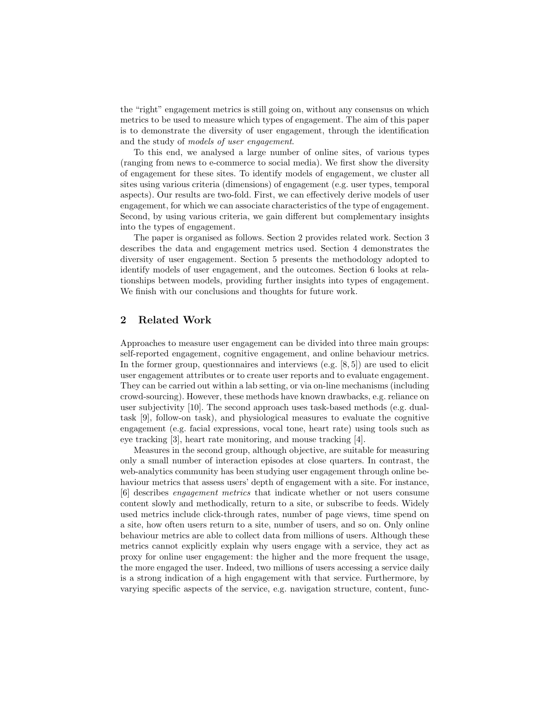the "right" engagement metrics is still going on, without any consensus on which metrics to be used to measure which types of engagement. The aim of this paper is to demonstrate the diversity of user engagement, through the identification and the study of models of user engagement.

To this end, we analysed a large number of online sites, of various types (ranging from news to e-commerce to social media). We first show the diversity of engagement for these sites. To identify models of engagement, we cluster all sites using various criteria (dimensions) of engagement (e.g. user types, temporal aspects). Our results are two-fold. First, we can effectively derive models of user engagement, for which we can associate characteristics of the type of engagement. Second, by using various criteria, we gain different but complementary insights into the types of engagement.

The paper is organised as follows. Section 2 provides related work. Section 3 describes the data and engagement metrics used. Section 4 demonstrates the diversity of user engagement. Section 5 presents the methodology adopted to identify models of user engagement, and the outcomes. Section 6 looks at relationships between models, providing further insights into types of engagement. We finish with our conclusions and thoughts for future work.

### 2 Related Work

Approaches to measure user engagement can be divided into three main groups: self-reported engagement, cognitive engagement, and online behaviour metrics. In the former group, questionnaires and interviews  $(e.g. [8, 5])$  are used to elicit user engagement attributes or to create user reports and to evaluate engagement. They can be carried out within a lab setting, or via on-line mechanisms (including crowd-sourcing). However, these methods have known drawbacks, e.g. reliance on user subjectivity [10]. The second approach uses task-based methods (e.g. dualtask [9], follow-on task), and physiological measures to evaluate the cognitive engagement (e.g. facial expressions, vocal tone, heart rate) using tools such as eye tracking [3], heart rate monitoring, and mouse tracking [4].

Measures in the second group, although objective, are suitable for measuring only a small number of interaction episodes at close quarters. In contrast, the web-analytics community has been studying user engagement through online behaviour metrics that assess users' depth of engagement with a site. For instance, [6] describes engagement metrics that indicate whether or not users consume content slowly and methodically, return to a site, or subscribe to feeds. Widely used metrics include click-through rates, number of page views, time spend on a site, how often users return to a site, number of users, and so on. Only online behaviour metrics are able to collect data from millions of users. Although these metrics cannot explicitly explain why users engage with a service, they act as proxy for online user engagement: the higher and the more frequent the usage, the more engaged the user. Indeed, two millions of users accessing a service daily is a strong indication of a high engagement with that service. Furthermore, by varying specific aspects of the service, e.g. navigation structure, content, func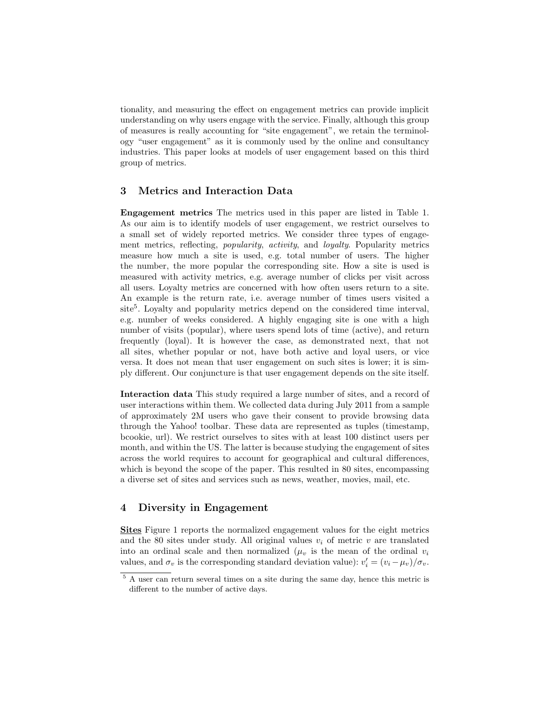tionality, and measuring the effect on engagement metrics can provide implicit understanding on why users engage with the service. Finally, although this group of measures is really accounting for "site engagement", we retain the terminology "user engagement" as it is commonly used by the online and consultancy industries. This paper looks at models of user engagement based on this third group of metrics.

## 3 Metrics and Interaction Data

Engagement metrics The metrics used in this paper are listed in Table 1. As our aim is to identify models of user engagement, we restrict ourselves to a small set of widely reported metrics. We consider three types of engagement metrics, reflecting, popularity, activity, and loyalty. Popularity metrics measure how much a site is used, e.g. total number of users. The higher the number, the more popular the corresponding site. How a site is used is measured with activity metrics, e.g. average number of clicks per visit across all users. Loyalty metrics are concerned with how often users return to a site. An example is the return rate, i.e. average number of times users visited a site<sup>5</sup>. Loyalty and popularity metrics depend on the considered time interval, e.g. number of weeks considered. A highly engaging site is one with a high number of visits (popular), where users spend lots of time (active), and return frequently (loyal). It is however the case, as demonstrated next, that not all sites, whether popular or not, have both active and loyal users, or vice versa. It does not mean that user engagement on such sites is lower; it is simply different. Our conjuncture is that user engagement depends on the site itself.

Interaction data This study required a large number of sites, and a record of user interactions within them. We collected data during July 2011 from a sample of approximately 2M users who gave their consent to provide browsing data through the Yahoo! toolbar. These data are represented as tuples (timestamp, bcookie, url). We restrict ourselves to sites with at least 100 distinct users per month, and within the US. The latter is because studying the engagement of sites across the world requires to account for geographical and cultural differences, which is beyond the scope of the paper. This resulted in 80 sites, encompassing a diverse set of sites and services such as news, weather, movies, mail, etc.

### 4 Diversity in Engagement

Sites Figure 1 reports the normalized engagement values for the eight metrics and the 80 sites under study. All original values  $v_i$  of metric v are translated into an ordinal scale and then normalized  $(\mu_v$  is the mean of the ordinal  $v_i$ values, and  $\sigma_v$  is the corresponding standard deviation value):  $v_i' = (v_i - \mu_v) / \sigma_v$ .

<sup>&</sup>lt;sup>5</sup> A user can return several times on a site during the same day, hence this metric is different to the number of active days.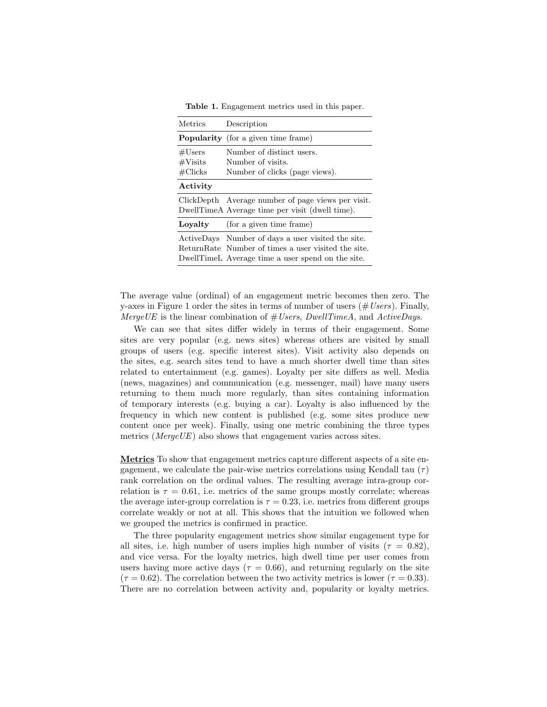Table 1. Engagement metrics used in this paper.

| <b>Metrics</b>                                     | Description                                                                                                                                                    |
|----------------------------------------------------|----------------------------------------------------------------------------------------------------------------------------------------------------------------|
|                                                    | <b>Popularity</b> (for a given time frame)                                                                                                                     |
| #Users<br>$\#\mathrm{Visits}$<br>$\#\text{Clicks}$ | Number of distinct users.<br>Number of visits.<br>Number of clicks (page views).                                                                               |
| Activity                                           |                                                                                                                                                                |
|                                                    | ClickDepth Average number of page views per visit.<br>DwellTimeA Average time per visit (dwell time).                                                          |
| Loyalty                                            | (for a given time frame)                                                                                                                                       |
|                                                    | ActiveDays Number of days a user visited the site.<br>ReturnRate Number of times a user visited the site.<br>DwellTimeL Average time a user spend on the site. |

The average value (ordinal) of an engagement metric becomes then zero. The y-axes in Figure 1 order the sites in terms of number of users  $(\#Users)$ . Finally, MergeUE is the linear combination of  $\#Users$ , DwellTimeA, and ActiveDays.

We can see that sites differ widely in terms of their engagement. Some sites are very popular (e.g. news sites) whereas others are visited by small groups of users (e.g. specific interest sites). Visit activity also depends on the sites, e.g. search sites tend to have a much shorter dwell time than sites related to entertainment (e.g. games). Loyalty per site differs as well. Media (news, magazines) and communication (e.g. messenger, mail) have many users returning to them much more regularly, than sites containing information of temporary interests (e.g. buying a car). Loyalty is also influenced by the frequency in which new content is published (e.g. some sites produce new content once per week). Finally, using one metric combining the three types metrics ( $MergeUE$ ) also shows that engagement varies across sites.

Metrics To show that engagement metrics capture different aspects of a site engagement, we calculate the pair-wise metrics correlations using Kendall tau  $(\tau)$ rank correlation on the ordinal values. The resulting average intra-group correlation is  $\tau = 0.61$ , i.e. metrics of the same groups mostly correlate; whereas the average inter-group correlation is  $\tau = 0.23$ , i.e. metrics from different groups correlate weakly or not at all. This shows that the intuition we followed when we grouped the metrics is confirmed in practice.

The three popularity engagement metrics show similar engagement type for all sites, i.e. high number of users implies high number of visits ( $\tau = 0.82$ ), and vice versa. For the loyalty metrics, high dwell time per user comes from users having more active days ( $\tau = 0.66$ ), and returning regularly on the site  $(\tau = 0.62)$ . The correlation between the two activity metrics is lower  $(\tau = 0.33)$ . There are no correlation between activity and, popularity or loyalty metrics.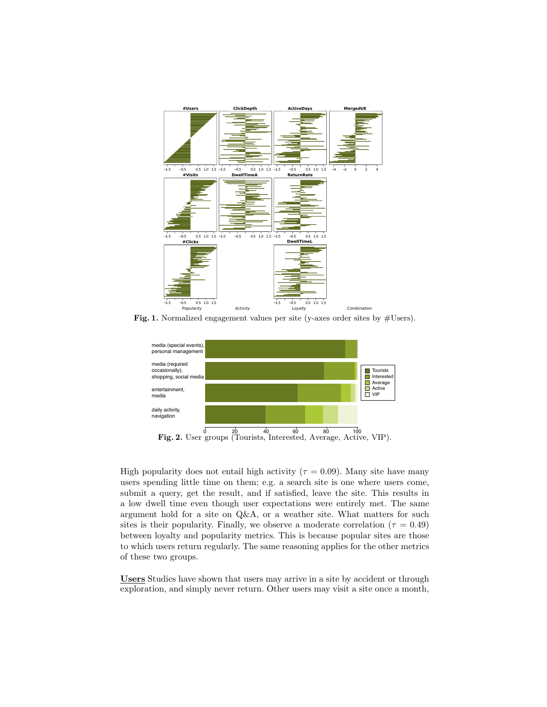

Fig. 1. Normalized engagement values per site (y-axes order sites by  $\#$ Users).



High popularity does not entail high activity ( $\tau = 0.09$ ). Many site have many users spending little time on them; e.g. a search site is one where users come, submit a query, get the result, and if satisfied, leave the site. This results in a low dwell time even though user expectations were entirely met. The same argument hold for a site on Q&A, or a weather site. What matters for such sites is their popularity. Finally, we observe a moderate correlation ( $\tau = 0.49$ ) between loyalty and popularity metrics. This is because popular sites are those to which users return regularly. The same reasoning applies for the other metrics of these two groups.

Users Studies have shown that users may arrive in a site by accident or through exploration, and simply never return. Other users may visit a site once a month,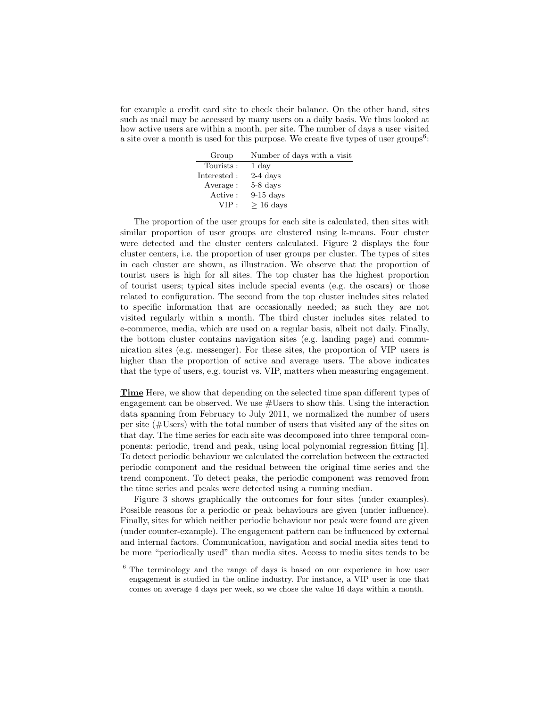for example a credit card site to check their balance. On the other hand, sites such as mail may be accessed by many users on a daily basis. We thus looked at how active users are within a month, per site. The number of days a user visited a site over a month is used for this purpose. We create five types of user groups<sup>6</sup>:

| Number of days with a visit |
|-----------------------------|
| 1 day                       |
| $2-4$ days                  |
| $5-8$ days                  |
| $9-15$ days                 |
| $> 16$ days                 |
|                             |

The proportion of the user groups for each site is calculated, then sites with similar proportion of user groups are clustered using k-means. Four cluster were detected and the cluster centers calculated. Figure 2 displays the four cluster centers, i.e. the proportion of user groups per cluster. The types of sites in each cluster are shown, as illustration. We observe that the proportion of tourist users is high for all sites. The top cluster has the highest proportion of tourist users; typical sites include special events (e.g. the oscars) or those related to configuration. The second from the top cluster includes sites related to specific information that are occasionally needed; as such they are not visited regularly within a month. The third cluster includes sites related to e-commerce, media, which are used on a regular basis, albeit not daily. Finally, the bottom cluster contains navigation sites (e.g. landing page) and communication sites (e.g. messenger). For these sites, the proportion of VIP users is higher than the proportion of active and average users. The above indicates that the type of users, e.g. tourist vs. VIP, matters when measuring engagement.

Time Here, we show that depending on the selected time span different types of engagement can be observed. We use  $#Users$  to show this. Using the interaction data spanning from February to July 2011, we normalized the number of users per site (#Users) with the total number of users that visited any of the sites on that day. The time series for each site was decomposed into three temporal components: periodic, trend and peak, using local polynomial regression fitting [1]. To detect periodic behaviour we calculated the correlation between the extracted periodic component and the residual between the original time series and the trend component. To detect peaks, the periodic component was removed from the time series and peaks were detected using a running median.

Figure 3 shows graphically the outcomes for four sites (under examples). Possible reasons for a periodic or peak behaviours are given (under influence). Finally, sites for which neither periodic behaviour nor peak were found are given (under counter-example). The engagement pattern can be influenced by external and internal factors. Communication, navigation and social media sites tend to be more "periodically used" than media sites. Access to media sites tends to be

<sup>6</sup> The terminology and the range of days is based on our experience in how user engagement is studied in the online industry. For instance, a VIP user is one that comes on average 4 days per week, so we chose the value 16 days within a month.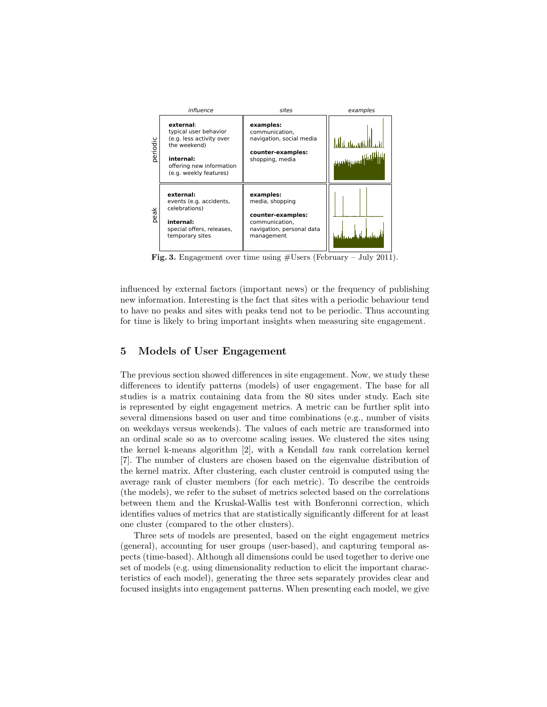

**Fig. 3.** Engagement over time using  $\#$ Users (February – July 2011).

influenced by external factors (important news) or the frequency of publishing new information. Interesting is the fact that sites with a periodic behaviour tend to have no peaks and sites with peaks tend not to be periodic. Thus accounting for time is likely to bring important insights when measuring site engagement.

## 5 Models of User Engagement

The previous section showed differences in site engagement. Now, we study these differences to identify patterns (models) of user engagement. The base for all studies is a matrix containing data from the 80 sites under study. Each site is represented by eight engagement metrics. A metric can be further split into several dimensions based on user and time combinations (e.g., number of visits on weekdays versus weekends). The values of each metric are transformed into an ordinal scale so as to overcome scaling issues. We clustered the sites using the kernel k-means algorithm [2], with a Kendall tau rank correlation kernel [7]. The number of clusters are chosen based on the eigenvalue distribution of the kernel matrix. After clustering, each cluster centroid is computed using the average rank of cluster members (for each metric). To describe the centroids (the models), we refer to the subset of metrics selected based on the correlations between them and the Kruskal-Wallis test with Bonferonni correction, which identifies values of metrics that are statistically significantly different for at least one cluster (compared to the other clusters).

Three sets of models are presented, based on the eight engagement metrics (general), accounting for user groups (user-based), and capturing temporal aspects (time-based). Although all dimensions could be used together to derive one set of models (e.g. using dimensionality reduction to elicit the important characteristics of each model), generating the three sets separately provides clear and focused insights into engagement patterns. When presenting each model, we give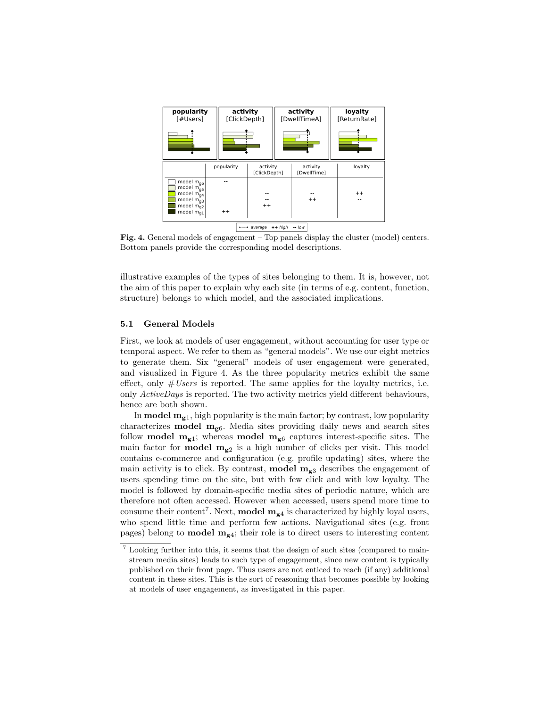

Fig. 4. General models of engagement – Top panels display the cluster (model) centers. Bottom panels provide the corresponding model descriptions.

illustrative examples of the types of sites belonging to them. It is, however, not the aim of this paper to explain why each site (in terms of e.g. content, function, structure) belongs to which model, and the associated implications.

### 5.1 General Models

First, we look at models of user engagement, without accounting for user type or temporal aspect. We refer to them as "general models". We use our eight metrics to generate them. Six "general" models of user engagement were generated, and visualized in Figure 4. As the three popularity metrics exhibit the same effect, only  $\#Users$  is reported. The same applies for the loyalty metrics, i.e. only ActiveDays is reported. The two activity metrics yield different behaviours, hence are both shown.

In **model m<sub>g1</sub>**, high popularity is the main factor; by contrast, low popularity characterizes **model**  $m_{g6}$ . Media sites providing daily news and search sites follow **model**  $m_{g1}$ ; whereas **model**  $m_{g6}$  captures interest-specific sites. The main factor for **model**  $m_{g2}$  is a high number of clicks per visit. This model contains e-commerce and configuration (e.g. profile updating) sites, where the main activity is to click. By contrast, **model**  $m_{g3}$  describes the engagement of users spending time on the site, but with few click and with low loyalty. The model is followed by domain-specific media sites of periodic nature, which are therefore not often accessed. However when accessed, users spend more time to consume their content<sup>7</sup>. Next, **model**  $m_{g4}$  is characterized by highly loyal users, who spend little time and perform few actions. Navigational sites (e.g. front pages) belong to **model**  $m_{g4}$ ; their role is to direct users to interesting content

<sup>7</sup> Looking further into this, it seems that the design of such sites (compared to mainstream media sites) leads to such type of engagement, since new content is typically published on their front page. Thus users are not enticed to reach (if any) additional content in these sites. This is the sort of reasoning that becomes possible by looking at models of user engagement, as investigated in this paper.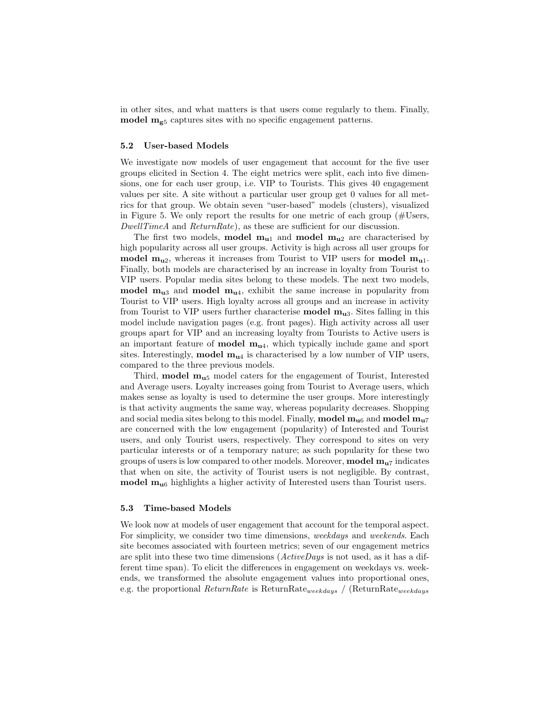in other sites, and what matters is that users come regularly to them. Finally, model  $m_{g5}$  captures sites with no specific engagement patterns.

#### 5.2 User-based Models

We investigate now models of user engagement that account for the five user groups elicited in Section 4. The eight metrics were split, each into five dimensions, one for each user group, i.e. VIP to Tourists. This gives 40 engagement values per site. A site without a particular user group get 0 values for all metrics for that group. We obtain seven "user-based" models (clusters), visualized in Figure 5. We only report the results for one metric of each group  $#Users$ , DwellTimeA and ReturnRate), as these are sufficient for our discussion.

The first two models, **model m**<sub>u1</sub> and **model m**<sub>u2</sub> are characterised by high popularity across all user groups. Activity is high across all user groups for model  $m_{u2}$ , whereas it increases from Tourist to VIP users for model  $m_{u1}$ . Finally, both models are characterised by an increase in loyalty from Tourist to VIP users. Popular media sites belong to these models. The next two models, model  $m_{u3}$  and model  $m_{u4}$ , exhibit the same increase in popularity from Tourist to VIP users. High loyalty across all groups and an increase in activity from Tourist to VIP users further characterise **model**  $m_{u3}$ . Sites falling in this model include navigation pages (e.g. front pages). High activity across all user groups apart for VIP and an increasing loyalty from Tourists to Active users is an important feature of **model**  $m_{u4}$ , which typically include game and sport sites. Interestingly, **model**  $m_{u4}$  is characterised by a low number of VIP users, compared to the three previous models.

Third, **model**  $m_{u5}$  model caters for the engagement of Tourist, Interested and Average users. Loyalty increases going from Tourist to Average users, which makes sense as loyalty is used to determine the user groups. More interestingly is that activity augments the same way, whereas popularity decreases. Shopping and social media sites belong to this model. Finally, **model m**<sub>16</sub> and **model**  $m_{u7}$ are concerned with the low engagement (popularity) of Interested and Tourist users, and only Tourist users, respectively. They correspond to sites on very particular interests or of a temporary nature; as such popularity for these two groups of users is low compared to other models. Moreover, **model**  $m_{u7}$  indicates that when on site, the activity of Tourist users is not negligible. By contrast, model  $m_{\text{u6}}$  highlights a higher activity of Interested users than Tourist users.

#### 5.3 Time-based Models

We look now at models of user engagement that account for the temporal aspect. For simplicity, we consider two time dimensions, weekdays and weekends. Each site becomes associated with fourteen metrics; seven of our engagement metrics are split into these two time dimensions (ActiveDays is not used, as it has a different time span). To elicit the differences in engagement on weekdays vs. weekends, we transformed the absolute engagement values into proportional ones, e.g. the proportional ReturnRate is ReturnRate<sub>weekdays</sub> / (ReturnRate<sub>weekdays</sub>)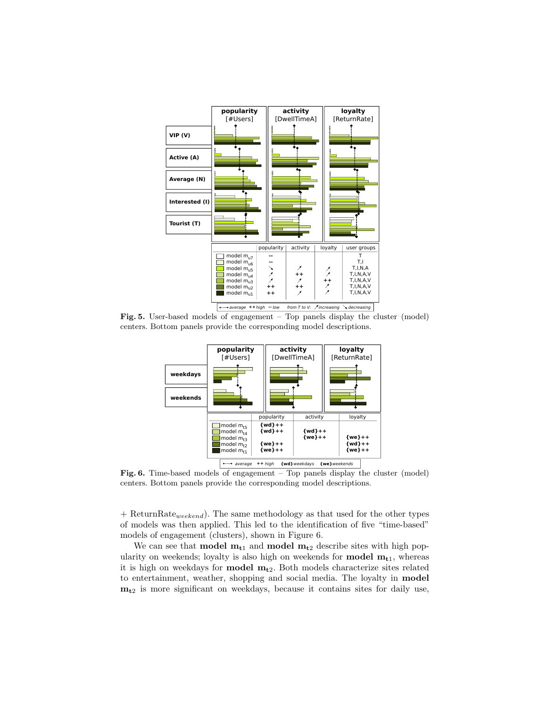

Fig. 5. User-based models of engagement – Top panels display the cluster (model) centers. Bottom panels provide the corresponding model descriptions.



Fig. 6. Time-based models of engagement – Top panels display the cluster (model) centers. Bottom panels provide the corresponding model descriptions.

 $+$  ReturnRate $weekend$ ). The same methodology as that used for the other types of models was then applied. This led to the identification of five "time-based" models of engagement (clusters), shown in Figure 6.

We can see that **model**  $m_{t1}$  and **model**  $m_{t2}$  describe sites with high popularity on weekends; loyalty is also high on weekends for **model**  $m_{t1}$ , whereas it is high on weekdays for **model**  $m_{t2}$ . Both models characterize sites related to entertainment, weather, shopping and social media. The loyalty in model  $m_{t2}$  is more significant on weekdays, because it contains sites for daily use,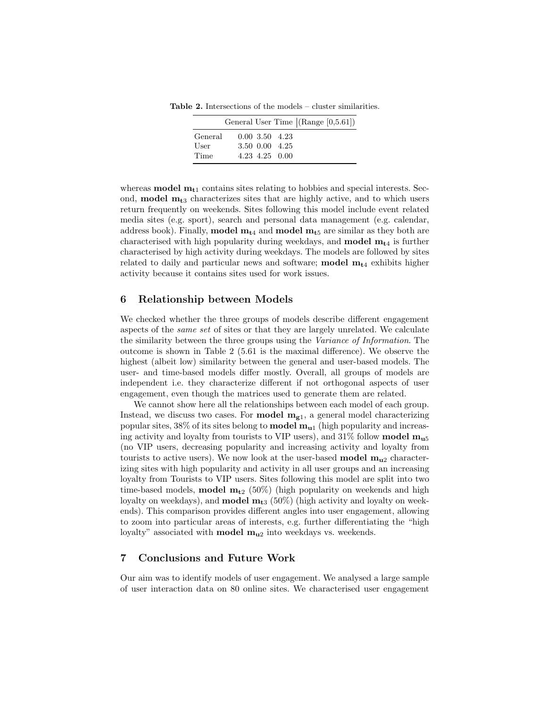Table 2. Intersections of the models – cluster similarities.

|         |  |                    | General User Time $ (Range [0, 5.61])$ |  |
|---------|--|--------------------|----------------------------------------|--|
| General |  | $0.00\,3.50\,4.23$ |                                        |  |
| User    |  | 3.50 0.00 4.25     |                                        |  |
| Time    |  | 4.23 4.25 0.00     |                                        |  |

whereas **model**  $m_{t1}$  contains sites relating to hobbies and special interests. Second, **model m<sub>t3</sub>** characterizes sites that are highly active, and to which users return frequently on weekends. Sites following this model include event related media sites (e.g. sport), search and personal data management (e.g. calendar, address book). Finally, **model**  $m_{t4}$  and **model**  $m_{t5}$  are similar as they both are characterised with high popularity during weekdays, and **model**  $m_{t4}$  is further characterised by high activity during weekdays. The models are followed by sites related to daily and particular news and software; **model**  $m_{t4}$  exhibits higher activity because it contains sites used for work issues.

### 6 Relationship between Models

We checked whether the three groups of models describe different engagement aspects of the same set of sites or that they are largely unrelated. We calculate the similarity between the three groups using the Variance of Information. The outcome is shown in Table 2 (5.61 is the maximal difference). We observe the highest (albeit low) similarity between the general and user-based models. The user- and time-based models differ mostly. Overall, all groups of models are independent i.e. they characterize different if not orthogonal aspects of user engagement, even though the matrices used to generate them are related.

We cannot show here all the relationships between each model of each group. Instead, we discuss two cases. For **model**  $m_{g1}$ , a general model characterizing popular sites,  $38\%$  of its sites belong to **model m**<sub>11</sub> (high popularity and increasing activity and loyalty from tourists to VIP users), and  $31\%$  follow model  $m_{u5}$ (no VIP users, decreasing popularity and increasing activity and loyalty from tourists to active users). We now look at the user-based **model**  $m_{u2}$  characterizing sites with high popularity and activity in all user groups and an increasing loyalty from Tourists to VIP users. Sites following this model are split into two time-based models, **model**  $m_{t2}$  (50%) (high popularity on weekends and high loyalty on weekdays), and **model**  $m_{t3}$  (50%) (high activity and loyalty on weekends). This comparison provides different angles into user engagement, allowing to zoom into particular areas of interests, e.g. further differentiating the "high loyalty" associated with **model**  $m_{u2}$  into weekdays vs. weekends.

### 7 Conclusions and Future Work

Our aim was to identify models of user engagement. We analysed a large sample of user interaction data on 80 online sites. We characterised user engagement